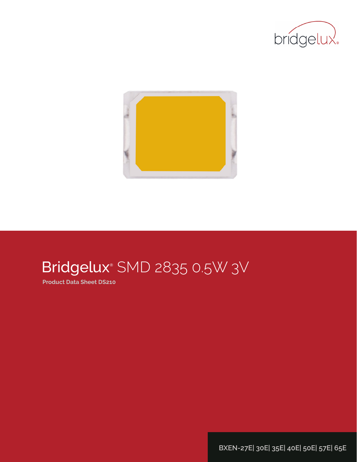



# Bridgelux® SMD 2835 0.5W 3V

**Product Data Sheet DS210**

**BXEN-27E| 30E| 35E| 40E| 50E| 57E| 65E**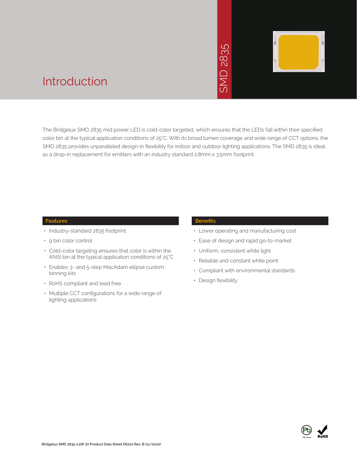# 2835  $\overline{\bigcap}$ **INS**



### Introduction

The Bridgelux SMD 2835 mid power LED is cold-color targeted, which ensures that the LEDs fall within their specified color bin at the typical application conditions of 25°C. With its broad lumen coverage and wide range of CCT options, the SMD 2835 provides unparalleled design-in flexibility for indoor and outdoor lighting applications. The SMD 2835 is ideal as a drop-in replacement for emitters with an industry standard 2.8mm x 3.5mm footprint. • Market The Sammer School Control Control Control Control Control Control Control Control Control Control Control Control Control Control Control Control Control Control Control Control Control Control Control Control Con

#### **Features**

- Industry-standard 2835 footprint
- 9 bin color control
- Cold-color targeting ensures that color is within the ANSI bin at the typical application conditions of 25°C
- Enables 3- and 5-step MacAdam ellipse custom binning kits
- RoHS compliant and lead free
- Multiple CCT configurations for a wide range of lighting applications

#### **Benefits**

- Lower operating and manufacturing cost
- Ease of design and rapid go-to-market
- Uniform, consistent white light
- Reliable and constant white point
- Compliant with environmental standards
- · Design flexibility

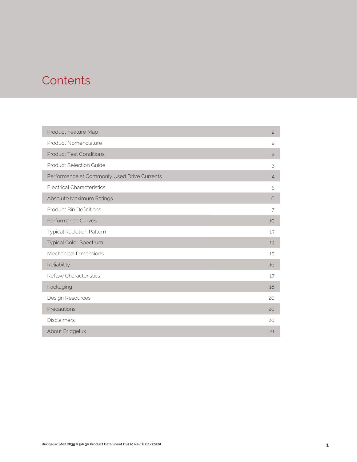### **Contents**

| Product Feature Map                         | $\overline{c}$ |
|---------------------------------------------|----------------|
| Product Nomenclature                        | $\overline{c}$ |
| <b>Product Test Conditions</b>              | $\overline{c}$ |
| <b>Product Selection Guide</b>              | 3              |
| Performance at Commonly Used Drive Currents | $\overline{4}$ |
| <b>Electrical Characteristics</b>           | 5              |
| Absolute Maximum Ratings                    | 6              |
| <b>Product Bin Definitions</b>              | 7              |
| Performance Curves                          | 10             |
| <b>Typical Radiation Pattern</b>            | 13             |
| Typical Color Spectrum                      | 14             |
| <b>Mechanical Dimensions</b>                | 15             |
| Reliability                                 | 16             |
| <b>Reflow Characteristics</b>               | 17             |
| Packaging                                   | 18             |
| Design Resources                            | 20             |
| Precautions                                 | 20             |
| <b>Disclaimers</b>                          | 20             |
| About Bridgelux                             | 21             |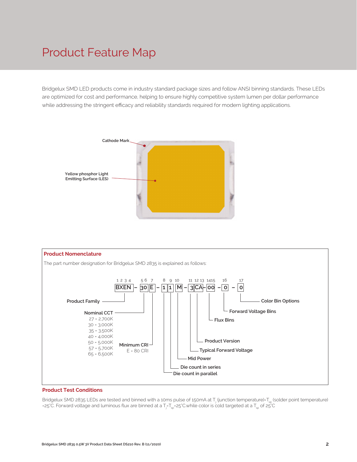### Product Feature Map

Bridgelux SMD LED products come in industry standard package sizes and follow ANSI binning standards. These LEDs are optimized for cost and performance, helping to ensure highly competitive system lumen per dollar performance while addressing the stringent efficacy and reliability standards required for modern lighting applications.





#### **Product Test Conditions**

Bridgelux SMD 2835 LEDs are tested and binned with a 10ms pulse of 150mA at T<sub>j</sub> (junction temperature)=T<sub>sp</sub> (solder point temperature) =25°C. Forward voltage and luminous flux are binned at a T<sub>j</sub>-T<sub>sp</sub>=25°C.while color is cold targeted at a T<sub>sp</sub> of 25°C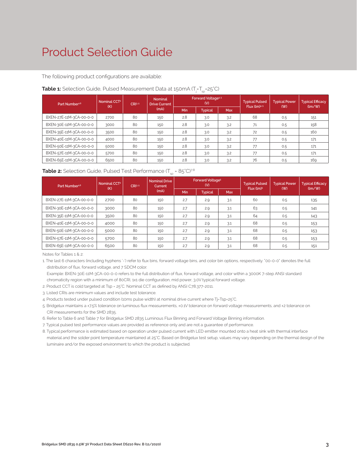### Product Selection Guide

The following product configurations are available:

| Part Number <sup>1,6</sup> | Nominal CCT <sup>2</sup><br>(K) | CRI3.5 | Nominal<br><b>Drive Current</b> | Forward Voltage <sup>4.5</sup><br>(V) |                |            | <b>Typical Pulsed</b> | <b>Typical Power</b> | <b>Typical Efficacy</b> |
|----------------------------|---------------------------------|--------|---------------------------------|---------------------------------------|----------------|------------|-----------------------|----------------------|-------------------------|
|                            |                                 |        | (mA)                            | Min                                   | <b>Typical</b> | <b>Max</b> | Flux $(lm)^{4.5}$     | (W)                  | $\frac{1}{2}$           |
| BXEN-27E-11M-3CA-00-0-0    | 2700                            | 80     | 150                             | 2.8                                   | 3.0            | 3.2        | 68                    | 0.5                  | 151                     |
| BXEN-30E-11M-3CA-00-0-0    | 3000                            | 80     | 150                             | 2.8                                   | 3.0            | 3.2        | 71                    | 0.5                  | 158                     |
| BXEN-35E-11M-3CA-00-0-0    | 3500                            | 80     | 150                             | 2.8                                   | 3.0            | 3.2        | 72                    | 0.5                  | 160                     |
| BXEN-40E-11M-3CA-00-0-0    | 4000                            | 80     | 150                             | 2.8                                   | 3.0            | 3.2        | 77                    | 0.5                  | 171                     |
| BXEN-50E-11M-3CA-00-0-0    | 5000                            | 80     | 150                             | 2.8                                   | 3.0            | 3.2        | 77                    | 0.5                  | 171                     |
| BXEN-57E-11M-3CA-00-0-0    | 5700                            | 80     | 150                             | 2.8                                   | 3.0            | 3.2        | 77                    | 0.5                  | 171                     |
| BXEN-65E-11M-3CA-00-0-0    | 6500                            | 80     | 150                             | 2.8                                   | 3.0            | 3.2        | 76                    | 0.5                  | 169                     |

#### **Table 1:** Selection Guide, Pulsed Measurement Data at 150mA (T<sub>j</sub>=T<sub>sp</sub>=25°C)

| <b>Table 2:</b> Selection Guide, Pulsed Test Performance $(T_{\rm SD} = 85^{\circ}C)^{78}$ |  |  |  |
|--------------------------------------------------------------------------------------------|--|--|--|
|--------------------------------------------------------------------------------------------|--|--|--|

| Part Number <sup>1,6</sup> | Nominal CCT <sup>2</sup><br>CRI3.5 |    | <b>Nominal Drive</b><br>Current | <b>Forward Voltage<sup>5</sup></b><br>(V) |                |            | <b>Typical Pulsed</b>  | <b>Typical Power</b> | <b>Typical Efficacy</b> |
|----------------------------|------------------------------------|----|---------------------------------|-------------------------------------------|----------------|------------|------------------------|----------------------|-------------------------|
|                            | (K)                                |    | (mA)                            | <b>Min</b>                                | <b>Typical</b> | <b>Max</b> | Flux (lm) <sup>5</sup> | (W)                  | (lm/W)                  |
| BXEN-27E-11M-3CA-00-0-0    | 2700                               | 80 | 150                             | 2.7                                       | 2.9            | 3.1        | 60                     | 0.5                  | 135                     |
| BXEN-30E-11M-3CA-00-0-0    | 3000                               | 80 | 150                             | 2.7                                       | 2.9            | 3.1        | 63                     | 0.5                  | 141                     |
| BXEN-35E-11M-3CA-00-0-0    | 3500                               | 80 | 150                             | 2.7                                       | 2.9            | 3.1        | 64                     | 0.5                  | 143                     |
| BXEN-40E-11M-3CA-00-0-0    | 4000                               | 80 | 150                             | 2.7                                       | 2.9            | 3.1        | 68                     | 0.5                  | 153                     |
| BXEN-50E-11M-3CA-00-0-0    | 5000                               | 80 | 150                             | 2.7                                       | 2.9            | 3.1        | 68                     | 0.5                  | 153                     |
| BXEN-57E-11M-3CA-00-0-0    | 5700                               | 80 | 150                             | 2.7                                       | 2.9            | 3.1        | 68                     | 0.5                  | 153                     |
| BXEN-65E-11M-3CA-00-0-0    | 6500                               | 80 | 150                             | 2.7                                       | 2.9            | 3.1        | 68                     | 0.5                  | 151                     |

Notes for Tables 1 & 2:

1. The last 6 characters (including hyphens '-') refer to flux bins, forward voltage bins, and color bin options, respectively. "00-0-0" denotes the full distribution of flux, forward voltage, and 7 SDCM color.

 Example: BXEN-30E-11M-3CA-00-0-0 refers to the full distribution of flux, forward voltage, and color within a 3000K 7-step ANSI standard chromaticity region with a minimum of 80CRI, 1x1 die configuration, mid power, 3.0V typical forward voltage.

2. Product CCT is cold targeted at Tsp = 25°C. Nominal CCT as defined by ANSI C78.377-2011.

3. Listed CRIs are minimum values and include test tolerance.

4. Products tested under pulsed condition (10ms pulse width) at nominal drive current where Tj-Tsp-25°C.

5. Bridgelux maintains a ±7.5% tolerance on luminous flux measurements, ±0.1V tolerance on forward voltage measurements, and ±2 tolerance on CRI measurements for the SMD 2835.

6. Refer to Table 6 and Table 7 for Bridgelux SMD 2835 Luminous Flux Binning and Forward Voltage Binning information.

7. Typical pulsed test performance values are provided as reference only and are not a guarantee of performance.

8. Typical performance is estimated based on operation under pulsed current with LED emitter mounted onto a heat sink with thermal interface material and the solder point temperature maintained at 25°C. Based on Bridgelux test setup, values may vary depending on the thermal design of the luminaire and/or the exposed environment to which the product is subjected.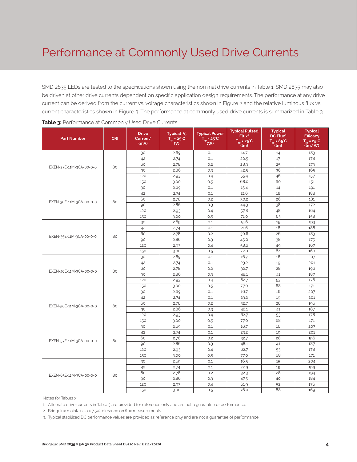### Performance at Commonly Used Drive Currents

SMD 2835 LEDs are tested to the specifications shown using the nominal drive currents in Table 1. SMD 2835 may also be driven at other drive currents dependent on specific application design requirements. The performance at any drive current can be derived from the current vs. voltage characteristics shown in Figure 2 and the relative luminous flux vs. current characteristics shown in Figure 3. The performance at commonly used drive currents is summarized in Table 3.

| <b>Part Number</b>      | <b>CRI</b> | <b>Drive</b><br>Current <sup>1</sup><br>(mA) | Typical V.<br>$T_{\rm so}$ = 25°C<br>$\mathbf{W}$ | <b>Typical Power</b><br>$T_{\rm sn}$ = 25°C<br>(W) | <b>Typical Pulsed</b><br>Flux <sup>2</sup><br>$T_{\rm SD} = 25^{\circ}C$<br>(lm) | <b>Typical</b><br>DC Flux <sup>3</sup><br>$T_{\text{m}} = 85^{\circ}C$<br>(lm) | <b>Typical</b><br><b>Efficacy</b><br>$T_{\dots} = 25^{\circ}C$<br>$(\mathbf{Im}/\mathbf{W})$ |
|-------------------------|------------|----------------------------------------------|---------------------------------------------------|----------------------------------------------------|----------------------------------------------------------------------------------|--------------------------------------------------------------------------------|----------------------------------------------------------------------------------------------|
|                         |            | 30                                           | 2.69                                              | 0.1                                                | 14.7                                                                             | 14                                                                             | 183                                                                                          |
|                         |            | 42                                           | 2.74                                              | 0.1                                                | 20.5                                                                             | 17                                                                             | 178                                                                                          |
|                         | 80         | 60                                           | 2.78                                              | 0.2                                                | 28.9                                                                             | 25                                                                             | 173                                                                                          |
| BXEN-27E-11M-3CA-00-0-0 |            | 90                                           | 2.86                                              | 0.3                                                | 42.5                                                                             | 36                                                                             | 165                                                                                          |
|                         |            | 120                                          | 2.93                                              | 0.4                                                | 55.4                                                                             | 46                                                                             | 157                                                                                          |
|                         |            | 150                                          | 3.00                                              | 0.5                                                | 68.0                                                                             | 60                                                                             | 151                                                                                          |
|                         |            | 30                                           | 2.69                                              | 0.1                                                | 15.4                                                                             | 14                                                                             | 191                                                                                          |
|                         |            | 42                                           | 2.74                                              | 0.1                                                | 21.6                                                                             | 18                                                                             | 188                                                                                          |
| BXEN-30E-11M-3CA-00-0-0 | 80         | 60                                           | 2.78                                              | 0.2                                                | 30.2                                                                             | 26                                                                             | 181                                                                                          |
|                         |            | 90                                           | 2.86                                              | 0.3                                                | 44.3                                                                             | 38                                                                             | 172                                                                                          |
|                         |            | 120                                          | 2.93                                              | 0.4                                                | 57.8                                                                             | 48                                                                             | 164                                                                                          |
|                         |            | 150                                          | 3.00                                              | 0.5                                                | 71.0                                                                             | 63                                                                             | 158                                                                                          |
|                         |            | 30                                           | 2.69                                              | 0.1                                                | 15.6                                                                             | 15                                                                             | 193                                                                                          |
|                         |            | 42                                           | 2.74                                              | 0.1                                                | 21.6                                                                             | 18                                                                             | 188                                                                                          |
| BXEN-35E-11M-3CA-00-0-0 | 80         | 60                                           | 2.78                                              | 0.2                                                | 30.6                                                                             | 26                                                                             | 183                                                                                          |
|                         |            | 90                                           | 2.86                                              | 0.3                                                | 45.0                                                                             | 38                                                                             | 175                                                                                          |
|                         |            | 120                                          | 2.93                                              | 0.4                                                | 58.6                                                                             | 49                                                                             | 167                                                                                          |
|                         |            | 150                                          | 3.00                                              | 0.5                                                | 72.0                                                                             | 64                                                                             | 160                                                                                          |
|                         | 80         | 30                                           | 2.69                                              | 0.1                                                | 16.7                                                                             | 16                                                                             | 207                                                                                          |
|                         |            | 42                                           | 2.74                                              | 0.1                                                | 23.2                                                                             | 19                                                                             | 201                                                                                          |
| BXEN-40E-11M-3CA-00-0-0 |            | 60                                           | 2.78                                              | 0.2                                                | 32.7                                                                             | 28                                                                             | 196                                                                                          |
|                         |            | 90                                           | 2.86                                              | 0.3                                                | 48.1                                                                             | 41                                                                             | 187                                                                                          |
|                         |            | 120                                          | 2.93                                              | 0.4                                                | 62.7                                                                             | 53                                                                             | 178                                                                                          |
|                         |            | 150                                          | 3.00                                              | 0.5                                                | 77.0                                                                             | 68                                                                             | 171                                                                                          |
|                         |            | 30                                           | 2.69                                              | 0.1                                                | 16.7                                                                             | 16                                                                             | 207                                                                                          |
|                         |            | 42                                           | 2.74                                              | 0.1                                                | 23.2                                                                             | 19                                                                             | 201                                                                                          |
| BXEN-50E-11M-3CA-00-0-0 | 80         | 60                                           | 2.78                                              | 0.2                                                | 32.7                                                                             | 28                                                                             | 196                                                                                          |
|                         |            | 90                                           | 2.86                                              | 0.3                                                | 48.1                                                                             | 41                                                                             | 187                                                                                          |
|                         |            | 120                                          | 2.93                                              | 0.4                                                | 62.7                                                                             | 53                                                                             | 178                                                                                          |
|                         |            | 150                                          | 3.00                                              | 0.5                                                | 77.0                                                                             | 68                                                                             | 171                                                                                          |
|                         |            | 30                                           | 2.69                                              | 0.1                                                | 16.7                                                                             | 16                                                                             | 207                                                                                          |
|                         |            | 42                                           | 2.74                                              | 0.1                                                | 23.2                                                                             | 19                                                                             | 201                                                                                          |
| BXEN-57E-11M-3CA-00-0-0 | 80         | 60                                           | 2.78                                              | 0.2                                                | 32.7                                                                             | 28                                                                             | 196                                                                                          |
|                         |            | 90                                           | 2.86                                              | 0.3                                                | 48.1                                                                             | 41                                                                             | 187                                                                                          |
|                         |            | 120                                          | 2.93                                              | 0.4                                                | 62.7                                                                             | 53                                                                             | 178                                                                                          |
|                         |            | 150                                          | 3.00                                              | 0.5                                                | 77.0                                                                             | 68                                                                             | 171                                                                                          |
|                         |            | 30                                           | 2.69                                              | 0.1                                                | 16.5                                                                             | 15                                                                             | 204                                                                                          |
|                         |            | 42                                           | 2.74                                              | 0.1                                                | 22.9                                                                             | 19                                                                             | 199                                                                                          |
| BXEN-65E-11M-3CA-00-0-0 | 80         | 60                                           | 2.78                                              | 0.2                                                | 32.3                                                                             | 28                                                                             | 194                                                                                          |
|                         |            | 90                                           | 2.86                                              | 0.3                                                | 47.5                                                                             | 40                                                                             | 184                                                                                          |
|                         |            | 120                                          | 2.93                                              | 0.4                                                | 61.9                                                                             | 52                                                                             | 176                                                                                          |
|                         |            | 150                                          | 3.00                                              | 0.5                                                | 76.0                                                                             | 68                                                                             | 169                                                                                          |

Notes for Tables 3:

1. Alternate drive currents in Table 3 are provided for reference only and are not a guarantee of performance.

2. Bridgelux maintains a ± 7.5% tolerance on flux measurements.

3. Typical stabilized DC performance values are provided as reference only and are not a guarantee of performance.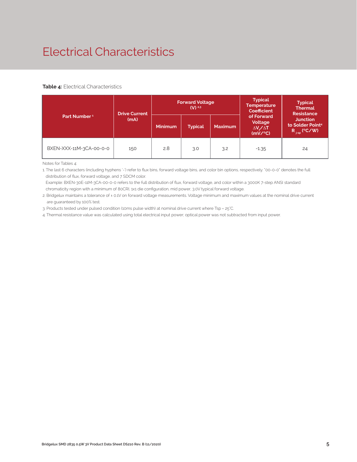## Electrical Characteristics

#### **Table 4:** Electrical Characteristics

|                          | <b>Drive Current</b> | <b>Forward Voltage</b><br>$(V)^{2,3}$ |                |                | <b>Typical</b><br><b>Temperature</b><br><b>Coefficient</b>  | <b>Typical</b><br><b>Thermal</b><br><b>Resistance</b>                |  |
|--------------------------|----------------------|---------------------------------------|----------------|----------------|-------------------------------------------------------------|----------------------------------------------------------------------|--|
| Part Number <sup>1</sup> | (mA)                 | <b>Minimum</b>                        | <b>Typical</b> | <b>Maximum</b> | of Forward<br>Voltage<br>$\Delta V \sim \Delta T$<br>(mV/C) | <b>Junction</b><br>to Solder Point <sup>4</sup><br>$R_{j-sp}$ (°C/W) |  |
| BXEN-XXX-11M-3CA-00-0-0  | 150                  | 2.8                                   | 3.0            | 3.2            | $-1.35$                                                     | 24                                                                   |  |

Notes for Tables 4:

1. The last 6 characters (including hyphens '-') refer to flux bins, forward voltage bins, and color bin options, respectively. "00-0-0" denotes the full distribution of flux, forward voltage, and 7 SDCM color.

 Example: BXEN-30E-11M-3CA-00-0-0 refers to the full distribution of flux, forward voltage, and color within a 3000K 7-step ANSI standard chromaticity region with a minimum of 80CRI, 1x1 die configuration, mid power, 3.0V typical forward voltage.

2. Bridgelux maintains a tolerance of ± 0.1V on forward voltage measurements. Voltage minimum and maximum values at the nominal drive current are guaranteed by 100% test.

3. Products tested under pulsed condition (10ms pulse width) at nominal drive current where Tsp = 25°C.

4. Thermal resistance value was calculated using total electrical input power; optical power was not subtracted from input power.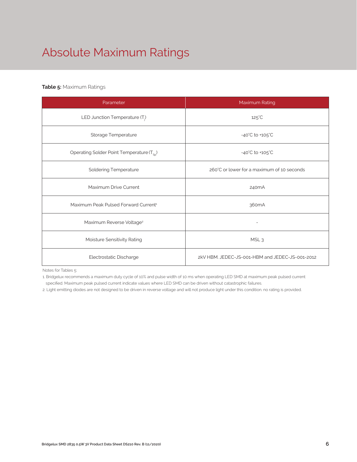# Absolute Maximum Ratings

#### **Table 5:** Maximum Ratings

| Parameter                                             | Maximum Rating                                  |  |  |
|-------------------------------------------------------|-------------------------------------------------|--|--|
| LED Junction Temperature (T <sub>i</sub> )            | $125^{\circ}$ C                                 |  |  |
| Storage Temperature                                   | $-40^{\circ}$ C to $+105^{\circ}$ C             |  |  |
| Operating Solder Point Temperature (T <sub>SD</sub> ) | $-40^{\circ}$ C to $+105^{\circ}$ C             |  |  |
| <b>Soldering Temperature</b>                          | 260°C or lower for a maximum of 10 seconds      |  |  |
| Maximum Drive Current                                 | 240 <sub>m</sub> A                              |  |  |
| Maximum Peak Pulsed Forward Current <sup>1</sup>      | 360 <sub>m</sub> A                              |  |  |
| Maximum Reverse Voltage <sup>2</sup>                  |                                                 |  |  |
| Moisture Sensitivity Rating                           | MSL <sub>3</sub>                                |  |  |
| Electrostatic Discharge                               | 2kV HBM, JEDEC-JS-001-HBM and JEDEC-JS-001-2012 |  |  |

Notes for Tables 5:

1. Bridgelux recommends a maximum duty cycle of 10% and pulse width of 10 ms when operating LED SMD at maximum peak pulsed current specified. Maximum peak pulsed current indicate values where LED SMD can be driven without catastrophic failures.

2. Light emitting diodes are not designed to be driven in reverse voltage and will not produce light under this condition. no rating is provided.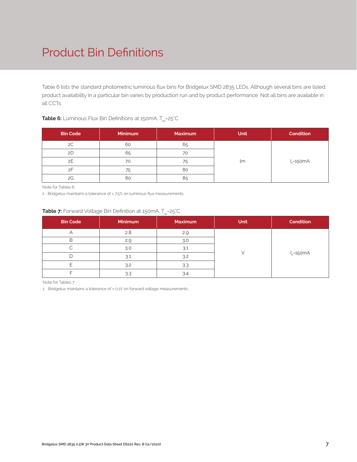## Product Bin Definitions

Table 6 lists the standard photometric luminous flux bins for Bridgelux SMD 2835 LEDs. Although several bins are listed, product availability in a particular bin varies by production run and by product performance. Not all bins are available in all CCTs.

| <b>Table 6:</b> Luminous Flux Bin Definitions at 150mA, T <sub>sp</sub> =25°C |  |
|-------------------------------------------------------------------------------|--|
|-------------------------------------------------------------------------------|--|

| <b>Bin Code</b> | <b>Minimum</b> | <b>Maximum</b> | <b>Unit</b> | <b>Condition</b> |
|-----------------|----------------|----------------|-------------|------------------|
| 2C              | 60             | 65             |             |                  |
| 2D              | 65             | 70             |             |                  |
| 2E              | 70             | 75             | lm          | $I_F = 150mA$    |
| 2F              | 75             | 80             |             |                  |
| 2G              | 80             | 85             |             |                  |

Note for Tables 6:

1. Bridgelux maintains a tolerance of ± 7.5% on luminous flux measurements.

#### **Table 7:** Forward Voltage Bin Definition at 150mA, T<sub>sp</sub>=25°C

| <b>Bin Code</b> | Minimum | <b>Maximum</b> | <b>Unit</b> | <b>Condition</b> |
|-----------------|---------|----------------|-------------|------------------|
|                 | 2.8     | 2.9            |             |                  |
| B               | 2.9     | 3.0            |             |                  |
|                 | 3.0     | 3.1            |             |                  |
|                 | 3.1     | 3.2            |             | $I_F = 150mA$    |
|                 | 3.2     | 3.3            |             |                  |
|                 | 3.3     | 3.4            |             |                  |

Note for Tables 7:

1. Bridgelux maintains a tolerance of ± 0.1V on forward voltage measurements.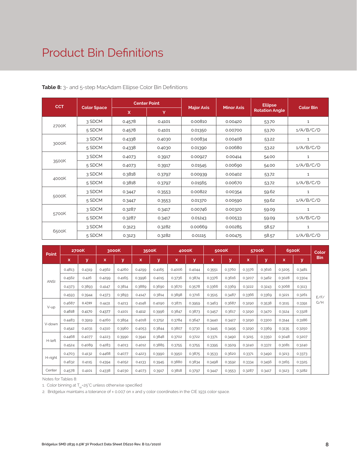### Product Bin Definitions

| <b>CCT</b> |                    | <b>Center Point</b> |        |                   |                   | <b>Ellipse</b>        |                  |
|------------|--------------------|---------------------|--------|-------------------|-------------------|-----------------------|------------------|
|            | <b>Color Space</b> | $\mathsf{x}$        | Y      | <b>Major Axis</b> | <b>Minor Axis</b> | <b>Rotation Angle</b> | <b>Color Bin</b> |
|            | 3 SDCM             | 0.4578              | 0.4101 | 0.00810           | 0.00420           | 53.70                 | $\mathbf{1}$     |
| 2700K      | 5 SDCM             | 0.4578              | 0.4101 | 0.01350           | 0.00700           | 53.70                 | 1/A/B/C/D        |
|            | 3 SDCM             | 0.4338              | 0.4030 | 0.00834           | 0.00408           | 53.22                 | $\mathbf{1}$     |
| 3000K      | 5 SDCM             | 0.4338              | 0.4030 | 0.01390           | 0.00680           | 53.22                 | 1/A/B/C/D        |
|            | 3 SDCM             | 0.4073              | 0.3917 | 0.00927           | 0.00414           | 54.00                 | $\mathbf{1}$     |
| 3500K      | 5 SDCM             | 0.4073              | 0.3917 | 0.01545           | 0.00690           | 54.00                 | 1/A/B/C/D        |
|            | 3 SDCM             | 0.3818              | 0.3797 | 0.00939           | 0.00402           | 53.72                 | $\mathbf{1}$     |
| 4000K      | 5 SDCM             | 0.3818              | 0.3797 | 0.01565           | 0.00670           | 53.72                 | 1/A/B/C/D        |
|            | 3 SDCM             | 0.3447              | 0.3553 | 0.00822           | 0.00354           | 59.62                 | $\mathbf{1}$     |
| 5000K      | 5 SDCM             | 0.3447              | 0.3553 | 0.01370           | 0.00590           | 59.62                 | 1/A/B/C/D        |
|            | 3 SDCM             | 0.3287              | 0.3417 | 0.00746           | 0.00320           | 59.09                 | 1                |
| 5700K      | 5 SDCM             | 0.3287              | 0.3417 | 0.01243           | 0.00533           | 59.09                 | 1/A/B/C/D        |
|            | 3 SDCM             | 0.3123              | 0.3282 | 0.00669           | 0.00285           | 58.57                 | 1                |
| 6500K      | 5 SDCM             | 0.3123              | 0.3282 | 0.01115           | 0.00475           | 58.57                 | 1/A/B/C/D        |

**Table 8:** 3- and 5-step MacAdam Ellipse Color Bin Definitions

| <b>Point</b> | <b>2700K</b> |        | 3000K  |        | 3500K  |        | 4000K  |        | 5000K  |        | 5700K  |        | 6500K  |        | Color |
|--------------|--------------|--------|--------|--------|--------|--------|--------|--------|--------|--------|--------|--------|--------|--------|-------|
|              | x            | y      | x      | v      | x      | У      | x      | y      | x      | ۷      | x      | y      | x      | V.     | Bin   |
| <b>ANSI</b>  | 0.4813       | 0.4319 | 0.4562 | 0.4260 | 0.4299 | 0.4165 | 0.4006 | 0.4044 | 0.3551 | 0.3760 | 0.3376 | 0.3616 | 0.3205 | 0.3481 |       |
|              | 0.4562       | 0.426  | 0.4299 | 0.4165 | 0.3996 | 0.4015 | 0.3736 | 0.3874 | 0.3376 | 0.3616 | 0.3207 | 0.3462 | 0.3028 | 0.3304 |       |
|              | 0.4373       | 0.3893 | 0.4147 | 0.3814 | 0.3889 | 0.3690 | 0.3670 | 0.3578 | 0.3366 | 0.3369 | 0.3222 | 0.3243 | 0.3068 | 0.3113 |       |
|              | 0.4593       | 0.3944 | 0.4373 | 0.3893 | 0.4147 | 0.3814 | 0.3898 | 0.3716 | 0.3515 | 0.3487 | 0.3366 | 0.3369 | 0.3221 | 0.3261 | F/F/  |
| V-up         | 0.4687       | 0.4289 | 0.4431 | 0.4213 | 0.4148 | 0.4090 | 0.3871 | 0.3959 | 0.3463 | 0.3687 | 0.3290 | 0.3538 | 0.3115 | 0.3391 | G/H   |
|              | 0.4618       | 0.4170 | 0.4377 | 0.4101 | 0.4112 | 0.3996 | 0.3847 | 0.3873 | 0.3457 | 0.3617 | 0.3290 | 0.3470 | 0.3124 | 0.3328 |       |
| V-down       | 0.4483       | 0.3919 | 0.4260 | 0.3854 | 0.4018 | 0.3752 | 0.3784 | 0.3647 | 0.3440 | 0.3427 | 0.3290 | 0.3300 | 0.3144 | 0.3186 |       |
|              | 0.4542       | 0.4031 | 0.4310 | 0.3960 | 0.4053 | 0.3844 | 0.3807 | 0.3730 | 0.3445 | 0.3495 | 0.3290 | 0.3369 | 0.3135 | 0.3250 |       |
| H-left       | 0.4468       | 0.4077 | 0.4223 | 0.3990 | 0.3941 | 0.3848 | 0.3702 | 0.3722 | 0.3371 | 0.3490 | 0.3215 | 0.3350 | 0.3048 | 0.3207 |       |
|              | 0.4524       | 0.4089 | 0.4283 | 0.4013 | 0.4012 | 0.3885 | 0.3755 | 0.3755 | 0.3395 | 0.3509 | 0.3240 | 0.3372 | 0.3081 | 0.3240 |       |
| H-right      | 0.4703       | 0.4132 | 0.4468 | 0.4077 | 0.4223 | 0.3990 | 0.3950 | 0.3875 | 0.3533 | 0.3620 | 0.3371 | 0.3490 | 0.3213 | 0.3373 |       |
|              | 0.4632       | 0.4115 | 0.4394 | 0.4052 | 0.4133 | 0.3945 | 0.3880 | 0.3834 | 0.3498 | 0.3592 | 0.3334 | 0.3456 | 0.3165 | 0.3325 |       |
| Center       | 0.4578       | 0.4101 | 0.4338 | 0.4030 | 0.4073 | 0.3917 | 0.3818 | 0.3797 | 0.3447 | 0.3553 | 0.3287 | 0.3417 | 0.3123 | 0.3282 |       |

Notes for Tables 8:

1. Color binning at  $T_{\rm so}$ =25°C unless otherwise specified

2. Bridgelux maintains a tolerance of ± 0.007 on x and y color coordinates in the CIE 1931 color space.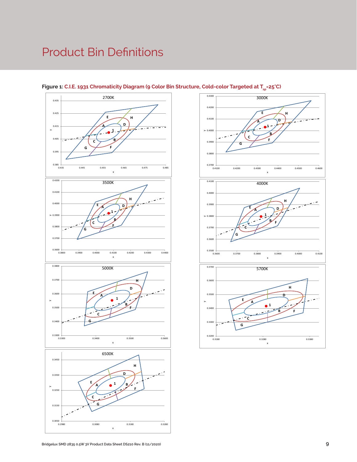### Product Bin Definitions



#### Figure 1: C.I.E. 1931 Chromaticity Diagram (9 Color Bin Structure, Cold-color Targeted at T<sub>sp</sub>=25°C)



**C**

**G**

0.2980 0.3080 0.3180 0.3280

x

 $0.3050$   $+ 0.2980$ 

0.3150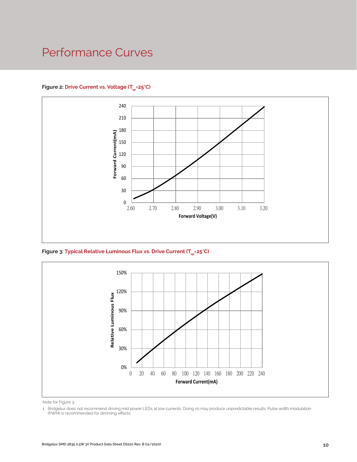### Performance Curves

#### Figure 2: Drive Current vs. Voltage (T<sub>SD</sub>=25°C)



Figure 3: Typical Relative Luminous Flux vs. Drive Current (T<sub>sp</sub>=25°C)



Note for Figure 3:

1. Bridgelux does not recommend driving mid power LEDs at low currents. Doing so may produce unpredictable results. Pulse width modulation (PWM) is recommended for dimming effects.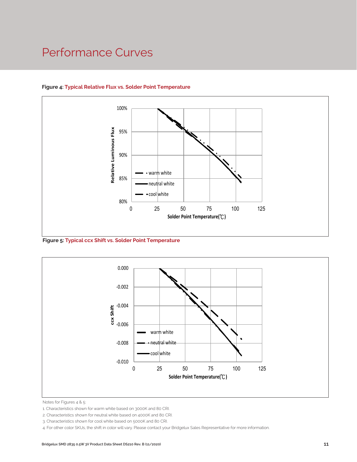### Performance Curves



#### **Figure 4: Typical Relative Flux vs. Solder Point Temperature**

**Figure 5: Typical ccx Shift vs. Solder Point Temperature**



Notes for Figures 4 & 5:

<sup>1.</sup> Characteristics shown for warm white based on 3000K and 80 CRI.

<sup>2.</sup> Characteristics shown for neutral white based on 4000K and 80 CRI.

<sup>3.</sup> Characteristics shown for cool white based on 5000K and 80 CRI.

<sup>4.</sup> For other color SKUs, the shift in color will vary. Please contact your Bridgelux Sales Representative for more information.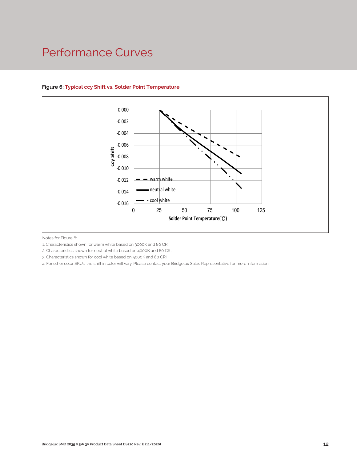### Performance Curves



#### **Figure 6: Typical ccy Shift vs. Solder Point Temperature**

Notes for Figure 6:

1. Characteristics shown for warm white based on 3000K and 80 CRI.

2. Characteristics shown for neutral white based on 4000K and 80 CRI.

3. Characteristics shown for cool white based on 5000K and 80 CRI.

4. For other color SKUs, the shift in color will vary. Please contact your Bridgelux Sales Representative for more information.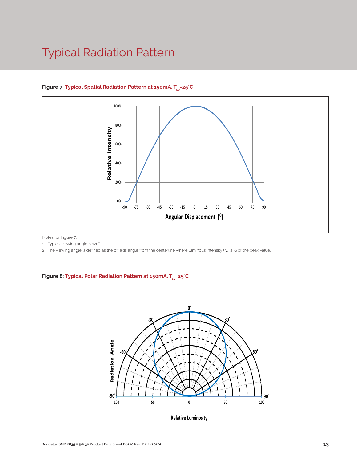### Typical Radiation Pattern



#### Figure 7: Typical Spatial Radiation Pattern at 150mA, T<sub>sp</sub>=25°C

Notes for Figure 7:

1. Typical viewing angle is 120°.

2. The viewing angle is defined as the off axis angle from the centerline where luminous intensity (Iv) is ½ of the peak value.

#### Figure 8: Typical Polar Radiation Pattern at 150mA, T<sub>sp</sub>=25°C

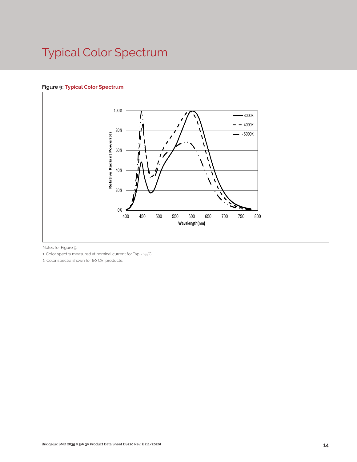# Typical Color Spectrum

#### **Figure 9: Typical Color Spectrum**



Notes for Figure 9:

1. Color spectra measured at nominal current for Tsp = 25°C

2. Color spectra shown for 80 CRI products.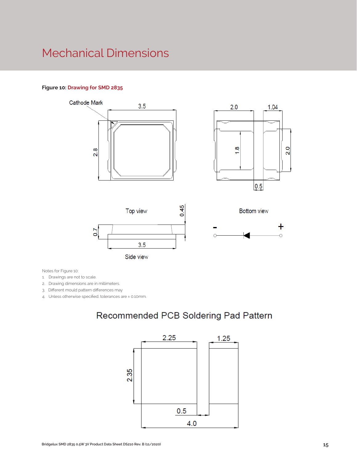### Mechanical Dimensions

#### **Figure 10: Drawing for SMD 2835**



Notes for Figure 10:

1. Drawings are not to scale.

2. Drawing dimensions are in millimeters.

3. Different mould pattern differences may

4. Unless otherwise specified, tolerances are ± 0.10mm.

### Recommended PCB Soldering Pad Pattern

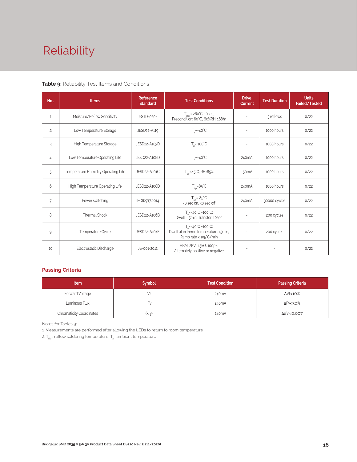# Reliability

#### **Table 9:** Reliability Test Items and Conditions

| No.            | <b>Items</b>                        | Reference<br><b>Standard</b> | <b>Test Conditions</b>                                                                                 | <b>Drive</b><br><b>Current</b> | <b>Test Duration</b> | <b>Units</b><br><b>Failed/Tested</b> |
|----------------|-------------------------------------|------------------------------|--------------------------------------------------------------------------------------------------------|--------------------------------|----------------------|--------------------------------------|
| $\mathbf{1}$   | Moisture/Reflow Sensitivity         | J-STD-020E                   | $T_{\text{cld}}$ = 260°C, 10sec,<br>Precondition: 60°C, 60%RH, 168hr                                   |                                | 3 reflows            | 0/22                                 |
| $\overline{c}$ | Low Temperature Storage             | JESD22-A119                  | $T_a = -40^{\circ}C$                                                                                   | $\overline{\phantom{a}}$       | 1000 hours           | 0/22                                 |
| 3              | High Temperature Storage            | JESD22-A103D                 | $T_a = 100^{\circ}$ C                                                                                  |                                | 1000 hours           | 0/22                                 |
| 4              | Low Temperature Operating Life      | JESD22-A108D                 | $T_s = -40^{\circ}C$                                                                                   | 240 <sub>m</sub> A             | 1000 hours           | 0/22                                 |
| 5              | Temperature Humidity Operating Life | JESD22-A101C                 | $T_{\rm SD} = 85^{\circ}$ C, RH=85%                                                                    | 150 <sub>m</sub> A             | 1000 hours           | 0/22                                 |
| 6              | High Temperature Operating Life     | JESD22-A108D                 | $T_{\rm SD} = 85^{\circ}C$                                                                             | 240 <sub>m</sub> A             | 1000 hours           | 0/22                                 |
| $\overline{7}$ | Power switching                     | IEC62717:2014                | $T_{\rm SD} = 85^{\circ}C$<br>30 sec on, 30 sec off                                                    | 240 <sub>m</sub> A             | 30000 cycles         | 0/22                                 |
| 8              | Thermal Shock                       | JESD22-A106B                 | $T_a = -40^{\circ}C \sim 100^{\circ}C$ ;<br>Dwell: 15min; Transfer: 10sec                              | $\sim$                         | 200 cycles           | 0/22                                 |
| 9              | Temperature Cycle                   | JESD22-A104E                 | $T_a = -40^{\circ}C - 100^{\circ}C$ ;<br>Dwell at extreme temperature: 15min;<br>Ramp rate < 105°C/min |                                | 200 cycles           | 0/22                                 |
| 10             | Electrostatic Discharge             | JS-001-2012                  | HBM, $2KV$ , $1.5k\Omega$ , 100pF,<br>Alternately positive or negative                                 | $\overline{\phantom{a}}$       |                      | 0/22                                 |

#### **Passing Criteria**

| <b>Item</b>                     | <b>Symbol</b> | <b>Test Condition</b> | <b>Passing Criteria</b> |  |  |
|---------------------------------|---------------|-----------------------|-------------------------|--|--|
| Forward Voltage                 |               | 240 <sub>m</sub> A    | ΔVf<10%                 |  |  |
| Luminous Flux                   | ۲v            | 240mA                 | ΔFν<30%                 |  |  |
| <b>Chromaticity Coordinates</b> | (x, y)        | 240mA                 | Δu'v'<0.007             |  |  |

Notes for Tables 9:

1. Measurements are performed after allowing the LEDs to return to room temperature

2.  $\mathsf{T}_{\sf std}$  : reflow soldering temperature;  $\mathsf{T}_{\sf a}$  : ambient temperature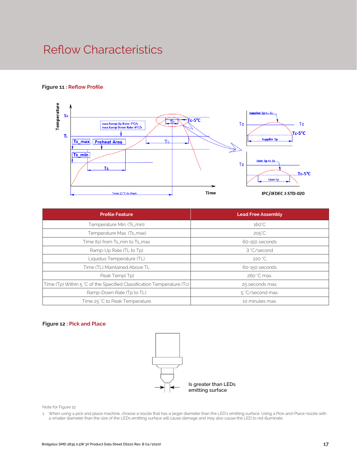### Reflow Characteristics

#### **Figure 11 : Reflow Profile**



| <b>Profile Feature</b>                                                 | <b>Lead Free Assembly</b> |  |  |
|------------------------------------------------------------------------|---------------------------|--|--|
| Temperature Min. (Ts_min)                                              | $160^{\circ}$ C           |  |  |
| Temperature Max. (Ts_max)                                              | $205^{\circ}C$            |  |  |
| Time (ts) from Ts_min to Ts_max                                        | 60-150 seconds            |  |  |
| Ramp-Up Rate (TL to Tp)                                                | 3 °C/second               |  |  |
| Liquidus Temperature (TL)                                              | 220 °C                    |  |  |
| Time (TL) Maintained Above TL                                          | 60-150 seconds            |  |  |
| Peak Temp(Tp)                                                          | 260 °C max.               |  |  |
| Time (Tp) Within 5 °C of the Specified Classification Temperature (Tc) | 25 seconds max.           |  |  |
| Ramp-Down Rate (Tp to TL)                                              | 5 °C/second max.          |  |  |
| Time 25 °C to Peak Temperature                                         | 10 minutes max.           |  |  |

#### **Figure 12 : Pick and Place**



Note for Figure 12:

1. When using a pick and place machine, choose a nozzle that has a larger diameter than the LED's emitting surface. Using a Pick-and-Place nozzle with a smaller diameter than the size of the LEDs emitting surface will cause damage and may also cause the LED to not illuminate.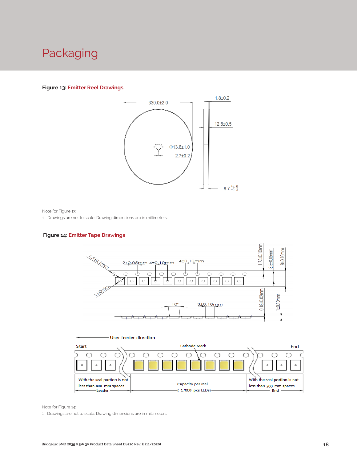### Packaging

#### **Figure 13: Emitter Reel Drawings**



Note for Figure 13:

1. Drawings are not to scale. Drawing dimensions are in millimeters.

#### **Figure 14: Emitter Tape Drawings**





Note for Figure 14:

1. Drawings are not to scale. Drawing dimensions are in millimeters.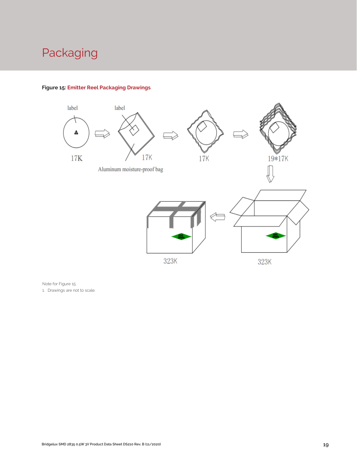# Packaging



#### **Figure 15: Emitter Reel Packaging Drawings**

Note for Figure 15:

1. Drawings are not to scale.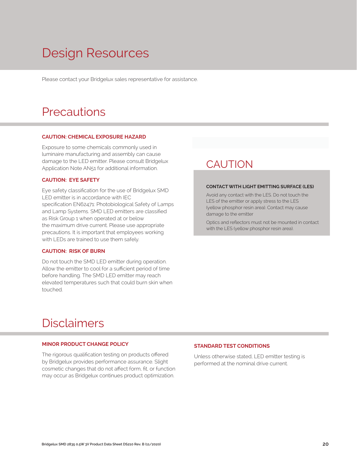# Design Resources

Please contact your Bridgelux sales representative for assistance.

### **Precautions**

#### **CAUTION: CHEMICAL EXPOSURE HAZARD**

Exposure to some chemicals commonly used in luminaire manufacturing and assembly can cause damage to the LED emitter. Please consult Bridgelux Application Note AN51 for additional information.

#### **CAUTION: EYE SAFETY**

Eye safety classification for the use of Bridgelux SMD LED emitter is in accordance with IEC specification EN62471: Photobiological Safety of Lamps and Lamp Systems. SMD LED emitters are classified as Risk Group 1 when operated at or below the maximum drive current. Please use appropriate precautions. It is important that employees working with LEDs are trained to use them safely.

#### **CAUTION: RISK OF BURN**

Do not touch the SMD LED emitter during operation. Allow the emitter to cool for a sufficient period of time before handling. The SMD LED emitter may reach elevated temperatures such that could burn skin when touched.

### **CAUTION**

#### **CONTACT WITH LIGHT EMITTING SURFACE (LES)**

Avoid any contact with the LES. Do not touch the LES of the emitter or apply stress to the LES (yellow phosphor resin area). Contact may cause damage to the emitter

Optics and reflectors must not be mounted in contact with the LES (yellow phosphor resin area).

### Disclaimers

#### **MINOR PRODUCT CHANGE POLICY**

The rigorous qualification testing on products offered by Bridgelux provides performance assurance. Slight cosmetic changes that do not affect form, fit, or function may occur as Bridgelux continues product optimization.

#### **STANDARD TEST CONDITIONS**

Unless otherwise stated, LED emitter testing is performed at the nominal drive current.